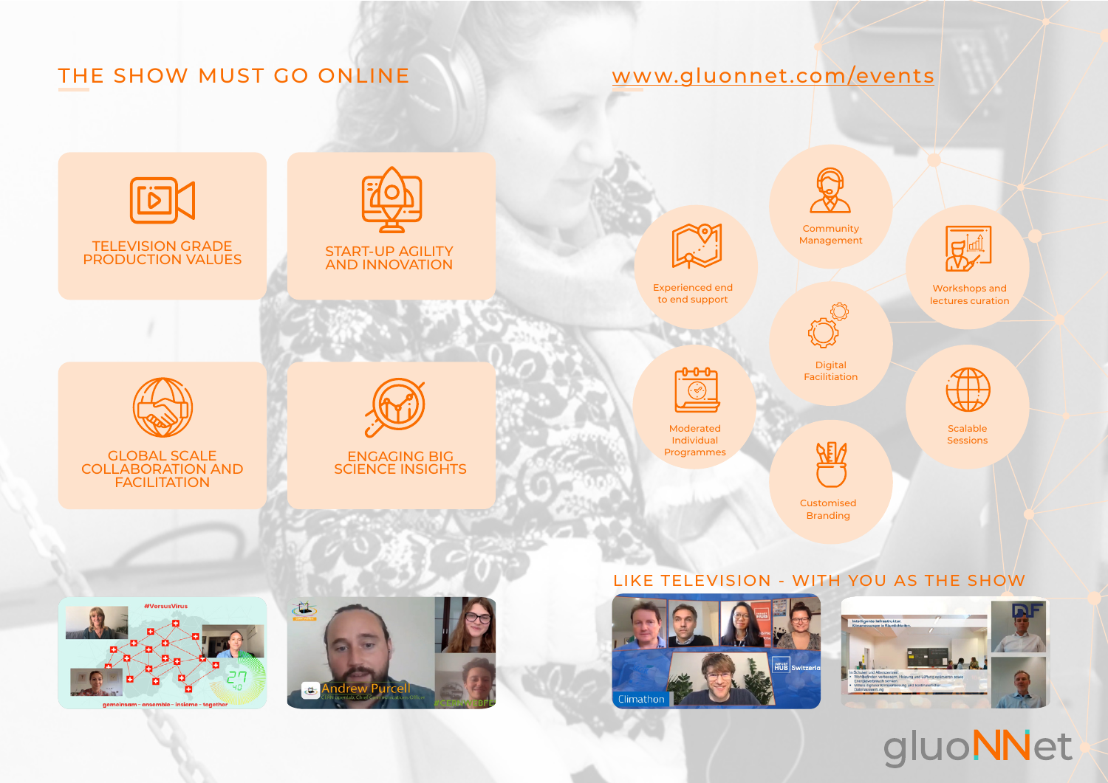# THE SHOW MUST GO ONLINE







# gluoNNet

## [www.gluonnet.com/events](http://www.gluonnet.com/events)